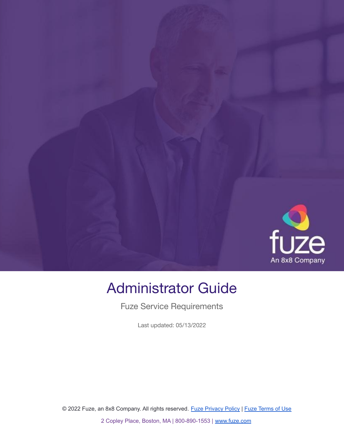

# Administrator Guide

Fuze Service Requirements

Last updated: 05/13/2022

© 2022 Fuze, an 8x8 Company. All rights reserved. Fuze [Privacy](https://www.fuze.com/fuze-privacy-policy) Policy | Fuze [Terms](https://www.fuze.com/legal) of Use

2 Copley Place, Boston, MA | 800-890-1553 | [www.fuze.com](http://www.fuze.com)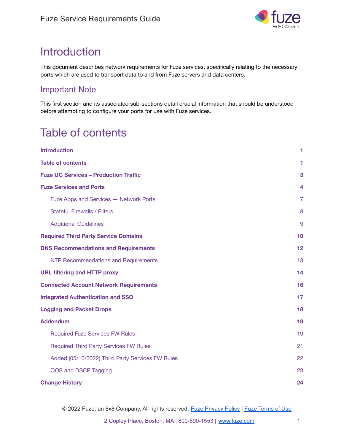

## <span id="page-1-0"></span>**Introduction**

This document describes network requirements for Fuze services, specifically relating to the necessary ports which are used to transport data to and from Fuze servers and data centers.

### Important Note

This first section and its associated sub-sections detail crucial information that should be understood before attempting to configure your ports for use with Fuze services.

## <span id="page-1-1"></span>Table of contents

| <b>Introduction</b>                              | 1              |
|--------------------------------------------------|----------------|
| <b>Table of contents</b>                         | 1              |
| <b>Fuze UC Services - Production Traffic</b>     | 3              |
| <b>Fuze Services and Ports</b>                   | 4              |
| Fuze Apps and Services - Network Ports           | $\overline{7}$ |
| <b>Stateful Firewalls / Filters</b>              | 8              |
| <b>Additional Guidelines</b>                     | 9              |
| <b>Required Third Party Service Domains</b>      | 10             |
| <b>DNS Recommendations and Requirements</b>      | 12             |
| <b>NTP Recommendations and Requirements</b>      | 13             |
| <b>URL filtering and HTTP proxy</b>              | 14             |
| <b>Connected Account Network Requirements</b>    | 16             |
| <b>Integrated Authentication and SSO</b>         | 17             |
| <b>Logging and Packet Drops</b>                  | 18             |
| <b>Addendum</b>                                  | 19             |
| <b>Required Fuze Services FW Rules</b>           | 19             |
| <b>Required Third Party Services FW Rules</b>    | 21             |
| Added (05/10/2022) Third Party Services FW Rules | 22             |
| QOS and DSCP Tagging                             | 23             |
| <b>Change History</b>                            | 24             |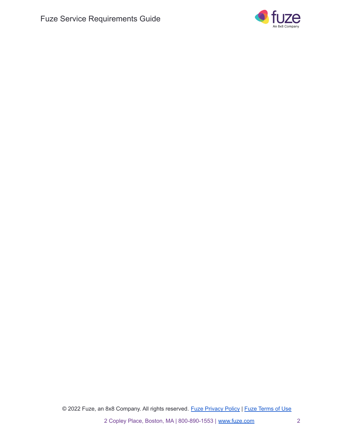<span id="page-2-0"></span>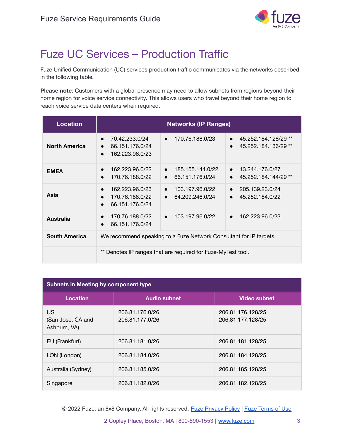

## <span id="page-3-0"></span>Fuze UC Services – Production Traffic

Fuze Unified Communication (UC) services production traffic communicates via the networks described in the following table.

**Please note**: Customers with a global presence may need to allow subnets from regions beyond their home region for voice service connectivity. This allows users who travel beyond their home region to reach voice service data centers when required.

| <b>Location</b>      | <b>Networks (IP Ranges)</b>                                                                  |                                                               |                                                                        |  |  |
|----------------------|----------------------------------------------------------------------------------------------|---------------------------------------------------------------|------------------------------------------------------------------------|--|--|
| <b>North America</b> | 70.42.233.0/24<br>$\bullet$<br>66.151.176.0/24<br>$\bullet$<br>162.223.96.0/23<br>$\bullet$  | 170.76.188.0/23<br>$\bullet$                                  | 45.252.184.128/29 **<br>$\bullet$<br>45.252.184.136/29 **<br>$\bullet$ |  |  |
| <b>EMEA</b>          | 162.223.96.0/22<br>$\bullet$<br>170.76.188.0/22<br>$\bullet$                                 | 185.155.144.0/22<br>$\bullet$<br>66.151.176.0/24<br>$\bullet$ | 13.244.176.0/27<br>$\bullet$<br>45.252.184.144/29 **<br>$\bullet$      |  |  |
| Asia                 | 162.223.96.0/23<br>$\bullet$<br>170.76.188.0/22<br>$\bullet$<br>66.151.176.0/24<br>$\bullet$ | 103.197.96.0/22<br>$\bullet$<br>64.209.246.0/24<br>$\bullet$  | 205.139.23.0/24<br>$\bullet$<br>45.252.184.0/22<br>$\bullet$           |  |  |
| <b>Australia</b>     | 170.76.188.0/22<br>$\bullet$<br>66.151.176.0/24<br>$\bullet$                                 | 103.197.96.0/22<br>$\bullet$                                  | 162.223.96.0/23<br>$\bullet$                                           |  |  |
| <b>South America</b> | We recommend speaking to a Fuze Network Consultant for IP targets.                           |                                                               |                                                                        |  |  |
|                      | ** Denotes IP ranges that are required for Fuze-MyTest tool.                                 |                                                               |                                                                        |  |  |

<span id="page-3-1"></span>

| <b>Subnets in Meeting by component type</b> |                                    |                                        |  |  |  |
|---------------------------------------------|------------------------------------|----------------------------------------|--|--|--|
| <b>Location</b>                             | <b>Audio subnet</b>                | <b>Video subnet</b>                    |  |  |  |
| US<br>(San Jose, CA and<br>Ashburn, VA)     | 206.81.176.0/26<br>206.81.177.0/26 | 206.81.176.128/25<br>206.81.177.128/25 |  |  |  |
| EU (Frankfurt)                              | 206.81.181.0/26                    | 206.81.181.128/25                      |  |  |  |
| LON (London)                                | 206.81.184.0/26                    | 206.81.184.128/25                      |  |  |  |
| Australia (Sydney)                          | 206.81.185.0/26                    | 206.81.185.128/25                      |  |  |  |
| Singapore                                   | 206.81.182.0/26                    | 206.81.182.128/25                      |  |  |  |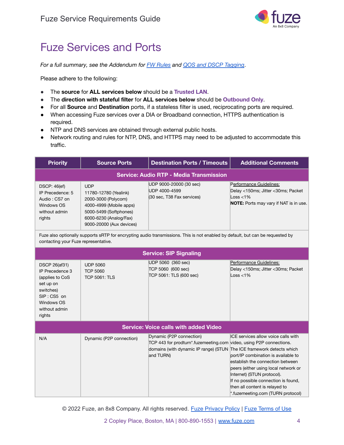

## <span id="page-4-0"></span>Fuze Services and Ports

*For a full summary, see the Addendum for FW [Rules](#page-19-0) and QOS and DSCP [Tagging](#page-23-0)*.

Please adhere to the following:

- The **source** for **ALL services below** should be a **Trusted LAN**.
- The **direction with stateful filter** for **ALL services below** should be **Outbound Only**.
- For all **Source** and **Destination** ports, if a stateless filter is used, reciprocating ports are required.
- When accessing Fuze services over a DIA or Broadband connection, HTTPS authentication is required.
- NTP and DNS services are obtained through external public hosts.
- Network routing and rules for NTP, DNS, and HTTPS may need to be adjusted to accommodate this traffic.

| <b>Priority</b>                                                                                                                                     | <b>Source Ports</b>                                                                                                                                                   | <b>Destination Ports / Timeouts</b>                                                                                                                                                   | <b>Additional Comments</b>                                                                                                                                                           |  |  |
|-----------------------------------------------------------------------------------------------------------------------------------------------------|-----------------------------------------------------------------------------------------------------------------------------------------------------------------------|---------------------------------------------------------------------------------------------------------------------------------------------------------------------------------------|--------------------------------------------------------------------------------------------------------------------------------------------------------------------------------------|--|--|
| <b>Service: Audio RTP - Media Transmission</b>                                                                                                      |                                                                                                                                                                       |                                                                                                                                                                                       |                                                                                                                                                                                      |  |  |
| <b>DSCP: 46(ef)</b><br>IP Precedence: 5<br>Audio: CS7 on<br><b>Windows OS</b><br>without admin<br>rights                                            | <b>UDP</b><br>11780-12780 (Yealink)<br>2000-3000 (Polycom)<br>4000-4999 (Mobile apps)<br>5000-5499 (Softphones)<br>6000-6230 (Analog/Fax)<br>9000-20000 (Aux devices) | UDP 9000-20000 (30 sec)<br>UDP 4000-4599<br>(30 sec, T38 Fax services)                                                                                                                | Performance Guidelines:<br>Delay <150ms; Jitter <30ms; Packet<br>Loss $<$ 1%<br><b>NOTE:</b> Ports may vary if NAT is in use.                                                        |  |  |
| contacting your Fuze representative.                                                                                                                |                                                                                                                                                                       | Fuze also optionally supports sRTP for encrypting audio transmissions. This is not enabled by default, but can be requested by                                                        |                                                                                                                                                                                      |  |  |
|                                                                                                                                                     |                                                                                                                                                                       | <b>Service: SIP Signaling</b>                                                                                                                                                         |                                                                                                                                                                                      |  |  |
| <b>DSCP 26(af31)</b><br>IP Precedence 3<br>(applies to CoS<br>set up on<br>switches)<br>SIP: CS5 on<br><b>Windows OS</b><br>without admin<br>rights | <b>UDP 5060</b><br><b>TCP 5060</b><br><b>TCP 5061: TLS</b>                                                                                                            | UDP 5060 (360 sec)<br>TCP 5060 (600 sec)<br>TCP 5061: TLS (600 sec)                                                                                                                   | Performance Guidelines:<br>Delay <150ms; Jitter <30ms; Packet<br>Loss $<$ 1%                                                                                                         |  |  |
| <b>Service: Voice calls with added Video</b>                                                                                                        |                                                                                                                                                                       |                                                                                                                                                                                       |                                                                                                                                                                                      |  |  |
| N/A                                                                                                                                                 | Dynamic (P2P connection)                                                                                                                                              | Dynamic (P2P connection)<br>TCP 443 for prodturn*.fuzemeeting.com video, using P2P connections.<br>domains (with dynamic IP range) (STUN The ICE framework detects which<br>and TURN) | ICE services allow voice calls with<br>port/IP combination is available to<br>establish the connection between<br>peers (either using local network or<br>Internet) (STUN protocol). |  |  |

© 2022 Fuze, an 8x8 Company. All rights reserved. Fuze [Privacy](https://www.fuze.com/fuze-privacy-policy) Policy | Fuze [Terms](https://www.fuze.com/legal) of Use

2 Copley Place, Boston, MA | 800-890-1553 | [www.fuze.com](http://www.fuze.com) 4

If no possible connection is found, then all content is relayed to \*.fuzemeeting.com (TURN protocol)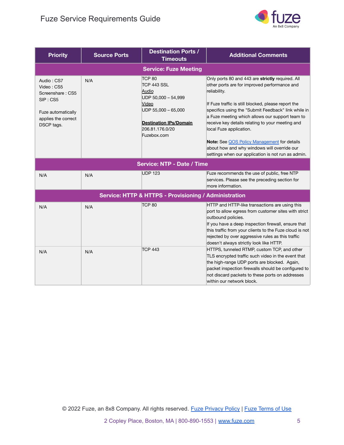

| <b>Priority</b>                                           | <b>Source Ports</b>          | <b>Destination Ports /</b><br><b>Timeouts</b>                                                        | <b>Additional Comments</b>                                                                                                                                                                                                                                                                                                                     |  |  |  |  |
|-----------------------------------------------------------|------------------------------|------------------------------------------------------------------------------------------------------|------------------------------------------------------------------------------------------------------------------------------------------------------------------------------------------------------------------------------------------------------------------------------------------------------------------------------------------------|--|--|--|--|
|                                                           | <b>Service: Fuze Meeting</b> |                                                                                                      |                                                                                                                                                                                                                                                                                                                                                |  |  |  |  |
| Audio: CS7<br>Video: CS5<br>Screenshare: CS5<br>SIP : CSS | N/A                          | TCP <sub>80</sub><br>TCP 443 SSL<br>Audio<br>$UDP 50,000 - 54,999$<br>Video<br>$UDP 55,000 - 65,000$ | Only ports 80 and 443 are strictly required. All<br>other ports are for improved performance and<br>reliability.<br>If Fuze traffic is still blocked, please report the<br>specifics using the "Submit Feedback" link while in                                                                                                                 |  |  |  |  |
| Fuze automatically<br>applies the correct<br>DSCP tags.   |                              | <b>Destination IPs/Domain</b><br>206.81.176.0/20<br>Fuzebox.com                                      | a Fuze meeting which allows our support team to<br>receive key details relating to your meeting and<br>local Fuze application.                                                                                                                                                                                                                 |  |  |  |  |
|                                                           |                              |                                                                                                      | Note: See QOS Policy Management for details<br>about how and why windows will override our<br>settings when our application is not run as admin.                                                                                                                                                                                               |  |  |  |  |
|                                                           |                              | <b>Service: NTP - Date / Time</b>                                                                    |                                                                                                                                                                                                                                                                                                                                                |  |  |  |  |
| N/A                                                       | N/A                          | <b>UDP 123</b>                                                                                       | Fuze recommends the use of public, free NTP<br>services. Please see the preceding section for<br>more information.                                                                                                                                                                                                                             |  |  |  |  |
|                                                           |                              | Service: HTTP & HTTPS - Provisioning / Administration                                                |                                                                                                                                                                                                                                                                                                                                                |  |  |  |  |
| N/A                                                       | N/A                          | TCP <sub>80</sub>                                                                                    | HTTP and HTTP-like transactions are using this<br>port to allow egress from customer sites with strict<br>outbound policies.<br>If you have a deep inspection firewall, ensure that<br>this traffic from your clients to the Fuze cloud is not<br>rejected by over aggressive rules as this traffic<br>doesn't always strictly look like HTTP. |  |  |  |  |
| N/A                                                       | N/A                          | <b>TCP 443</b>                                                                                       | HTTPS, tunneled RTMP, custom TCP, and other<br>TLS encrypted traffic such video in the event that<br>the high-range UDP ports are blocked. Again,<br>packet inspection firewalls should be configured to<br>not discard packets to these ports on addresses<br>within our network block.                                                       |  |  |  |  |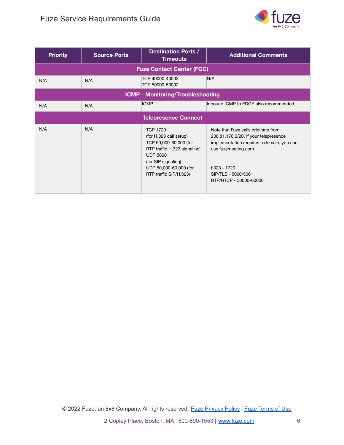

| <b>Priority</b> | <b>Source Ports</b>                       | <b>Destination Ports /</b><br><b>Timeouts</b>                                                                                                                                                     | <b>Additional Comments</b>                                                                                                                                                                                       |  |  |  |  |
|-----------------|-------------------------------------------|---------------------------------------------------------------------------------------------------------------------------------------------------------------------------------------------------|------------------------------------------------------------------------------------------------------------------------------------------------------------------------------------------------------------------|--|--|--|--|
|                 | <b>Fuze Contact Center (FCC)</b>          |                                                                                                                                                                                                   |                                                                                                                                                                                                                  |  |  |  |  |
| N/A             | TCP 40000-40003<br>N/A<br>TCP 50000-50002 |                                                                                                                                                                                                   | N/A                                                                                                                                                                                                              |  |  |  |  |
|                 | <b>ICMP - Monitoring/Troubleshooting</b>  |                                                                                                                                                                                                   |                                                                                                                                                                                                                  |  |  |  |  |
| N/A             | N/A                                       | <b>ICMP</b>                                                                                                                                                                                       | Inbound ICMP to EDGE also recommended                                                                                                                                                                            |  |  |  |  |
|                 | <b>Telepresence Connect</b>               |                                                                                                                                                                                                   |                                                                                                                                                                                                                  |  |  |  |  |
| N/A             | N/A                                       | <b>TCP 1720</b><br>(for H.323 call setup)<br>TCP 50,000-60,000 (for<br>RTP traffic H.323 signaling)<br><b>UDP 5060</b><br>(for SIP signaling)<br>UDP 50,000-60,000 (for<br>RTP traffic SIP/H.323) | Note that Fuze calls originate from<br>206.81.176.0/20. If your telepresence<br>implementation requires a domain, you can<br>use fuzemeeting.com<br>h323 - 1720<br>SIP/TLS - 5060/5061<br>RTP/RTCP - 50000-60000 |  |  |  |  |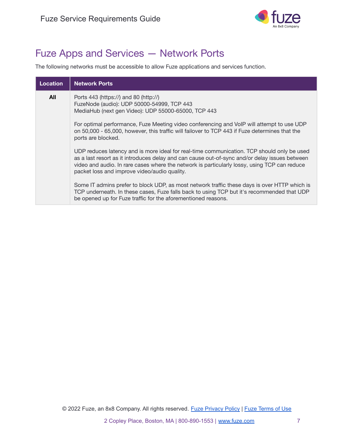

### <span id="page-7-0"></span>Fuze Apps and Services — Network Ports

The following networks must be accessible to allow Fuze applications and services function.

| <b>Location</b> | <b>Network Ports</b>                                                                                                                                                                                                                                                                                                                        |
|-----------------|---------------------------------------------------------------------------------------------------------------------------------------------------------------------------------------------------------------------------------------------------------------------------------------------------------------------------------------------|
| All             | Ports 443 (https://) and 80 (http://)<br>FuzeNode (audio): UDP 50000-54999, TCP 443<br>MediaHub (next gen Video): UDP 55000-65000, TCP 443                                                                                                                                                                                                  |
|                 | For optimal performance, Fuze Meeting video conferencing and VoIP will attempt to use UDP<br>on 50,000 - 65,000, however, this traffic will failover to TCP 443 if Fuze determines that the<br>ports are blocked.                                                                                                                           |
|                 | UDP reduces latency and is more ideal for real-time communication. TCP should only be used<br>as a last resort as it introduces delay and can cause out-of-sync and/or delay issues between<br>video and audio. In rare cases where the network is particularly lossy, using TCP can reduce<br>packet loss and improve video/audio quality. |
|                 | Some IT admins prefer to block UDP, as most network traffic these days is over HTTP which is<br>TCP underneath. In these cases, Fuze falls back to using TCP but it's recommended that UDP<br>be opened up for Fuze traffic for the aforementioned reasons.                                                                                 |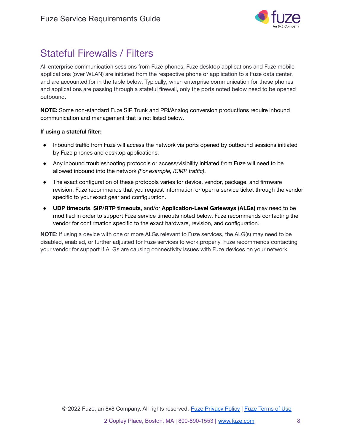

### <span id="page-8-0"></span>Stateful Firewalls / Filters

All enterprise communication sessions from Fuze phones, Fuze desktop applications and Fuze mobile applications (over WLAN) are initiated from the respective phone or application to a Fuze data center, and are accounted for in the table below. Typically, when enterprise communication for these phones and applications are passing through a stateful firewall, only the ports noted below need to be opened outbound.

**NOTE:** Some non-standard Fuze SIP Trunk and PRi/Analog conversion productions require inbound communication and management that is not listed below.

#### **If using a stateful filter:**

- Inbound traffic from Fuze will access the network via ports opened by outbound sessions initiated by Fuze phones and desktop applications.
- Any inbound troubleshooting protocols or access/visibility initiated from Fuze will need to be allowed inbound into the network *(For example, ICMP traffic)*.
- The exact configuration of these protocols varies for device, vendor, package, and firmware revision. Fuze recommends that you request information or open a service ticket through the vendor specific to your exact gear and configuration.
- **UDP timeouts**, **SIP/RTP timeouts**, and/or **Application-Level Gateways (ALGs)** may need to be modified in order to support Fuze service timeouts noted below. Fuze recommends contacting the vendor for confirmation specific to the exact hardware, revision, and configuration.

**NOTE**: If using a device with one or more ALGs relevant to Fuze services, the ALG(s) may need to be disabled, enabled, or further adjusted for Fuze services to work properly. Fuze recommends contacting your vendor for support if ALGs are causing connectivity issues with Fuze devices on your network.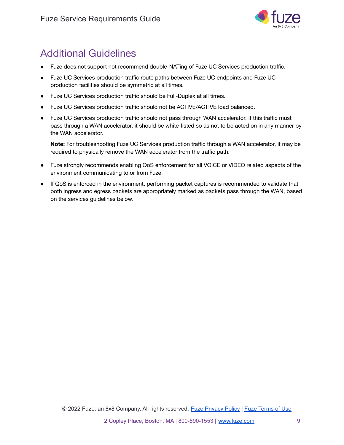

### <span id="page-9-0"></span>Additional Guidelines

- Fuze does not support not recommend double-NATing of Fuze UC Services production traffic.
- Fuze UC Services production traffic route paths between Fuze UC endpoints and Fuze UC production facilities should be symmetric at all times.
- Fuze UC Services production traffic should be Full-Duplex at all times.
- Fuze UC Services production traffic should not be ACTIVE/ACTIVE load balanced.
- Fuze UC Services production traffic should not pass through WAN accelerator. If this traffic must pass through a WAN accelerator, it should be white-listed so as not to be acted on in any manner by the WAN accelerator.

**Note:** For troubleshooting Fuze UC Services production traffic through a WAN accelerator, it may be required to physically remove the WAN accelerator from the traffic path.

- Fuze strongly recommends enabling QoS enforcement for all VOICE or VIDEO related aspects of the environment communicating to or from Fuze.
- If QoS is enforced in the environment, performing packet captures is recommended to validate that both ingress and egress packets are appropriately marked as packets pass through the WAN, based on the services guidelines below.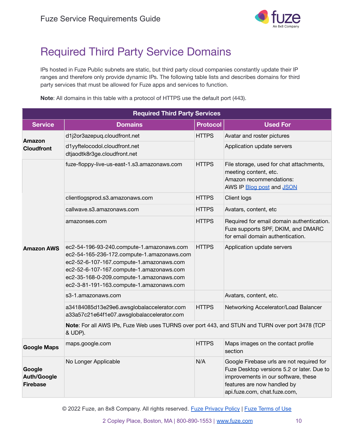

## <span id="page-10-0"></span>Required Third Party Service Domains

IPs hosted in Fuze Public subnets are static, but third party cloud companies constantly update their IP ranges and therefore only provide dynamic IPs. The following table lists and describes domains for third party services that must be allowed for Fuze apps and services to function.

**Note**: All domains in this table with a protocol of HTTPS use the default port (443).

| <b>Required Third Party Services</b>            |                                                                                                                                                                                                                                                                         |                 |                                                                                                                                                                                               |  |
|-------------------------------------------------|-------------------------------------------------------------------------------------------------------------------------------------------------------------------------------------------------------------------------------------------------------------------------|-----------------|-----------------------------------------------------------------------------------------------------------------------------------------------------------------------------------------------|--|
| <b>Service</b>                                  | <b>Domains</b>                                                                                                                                                                                                                                                          | <b>Protocol</b> | <b>Used For</b>                                                                                                                                                                               |  |
| Amazon<br><b>Cloudfront</b>                     | d1j2or3azepuq.cloudfront.net                                                                                                                                                                                                                                            | <b>HTTPS</b>    | Avatar and roster pictures                                                                                                                                                                    |  |
|                                                 | d1yyftelocodol.cloudfront.net<br>dtjaodtk8r3ge.cloudfront.net                                                                                                                                                                                                           |                 | Application update servers                                                                                                                                                                    |  |
|                                                 | fuze-floppy-live-us-east-1.s3.amazonaws.com                                                                                                                                                                                                                             | <b>HTTPS</b>    | File storage, used for chat attachments,<br>meeting content, etc.<br>Amazon recommendations:<br>AWS IP Blog post and JSON                                                                     |  |
|                                                 | clientlogsprod.s3.amazonaws.com                                                                                                                                                                                                                                         | <b>HTTPS</b>    | Client logs                                                                                                                                                                                   |  |
|                                                 | callwave.s3.amazonaws.com                                                                                                                                                                                                                                               | <b>HTTPS</b>    | Avatars, content, etc                                                                                                                                                                         |  |
| <b>Amazon AWS</b>                               | amazonses.com                                                                                                                                                                                                                                                           | <b>HTTPS</b>    | Required for email domain authentication.<br>Fuze supports SPF, DKIM, and DMARC<br>for email domain authentication.                                                                           |  |
|                                                 | ec2-54-196-93-240.compute-1.amazonaws.com<br>ec2-54-165-236-172.compute-1.amazonaws.com<br>ec2-52-6-107-167.compute-1.amazonaws.com<br>ec2-52-6-107-167.compute-1.amazonaws.com<br>ec2-35-168-0-209.compute-1.amazonaws.com<br>ec2-3-81-191-163.compute-1.amazonaws.com | <b>HTTPS</b>    | Application update servers                                                                                                                                                                    |  |
|                                                 | s3-1.amazonaws.com                                                                                                                                                                                                                                                      |                 | Avatars, content, etc.                                                                                                                                                                        |  |
|                                                 | a34184085d13e29e6.awsglobalaccelerator.com<br>a33a57c21e64f1e07.awsglobalaccelerator.com                                                                                                                                                                                | <b>HTTPS</b>    | Networking Accelerator/Load Balancer                                                                                                                                                          |  |
|                                                 | Note: For all AWS IPs, Fuze Web uses TURNS over port 443, and STUN and TURN over port 3478 (TCP<br>& UDP).                                                                                                                                                              |                 |                                                                                                                                                                                               |  |
| <b>Google Maps</b>                              | maps.google.com                                                                                                                                                                                                                                                         | <b>HTTPS</b>    | Maps images on the contact profile<br>section                                                                                                                                                 |  |
| Google<br><b>Auth/Google</b><br><b>Firebase</b> | No Longer Applicable                                                                                                                                                                                                                                                    | N/A             | Google Firebase urls are not required for<br>Fuze Desktop versions 5.2 or later. Due to<br>improvements in our software, these<br>features are now handled by<br>api.fuze.com, chat.fuze.com, |  |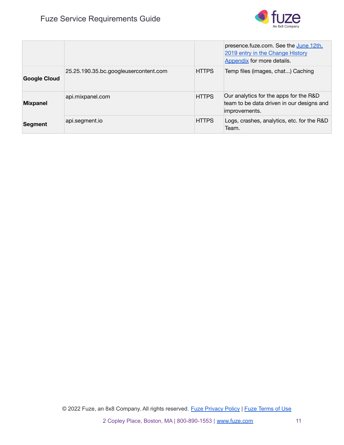

|                     |                                       |              | presence.fuze.com. See the June 12th.<br>2019 entry in the Change History<br>Appendix for more details. |
|---------------------|---------------------------------------|--------------|---------------------------------------------------------------------------------------------------------|
| <b>Google Cloud</b> | 25.25.190.35.bc.googleusercontent.com | <b>HTTPS</b> | Temp files (images, chat) Caching                                                                       |
| <b>Mixpanel</b>     | api.mixpanel.com                      | <b>HTTPS</b> | Our analytics for the apps for the R&D<br>team to be data driven in our designs and<br>improvements.    |
| <b>Segment</b>      | api.segment.io                        | <b>HTTPS</b> | Logs, crashes, analytics, etc. for the R&D<br>Team.                                                     |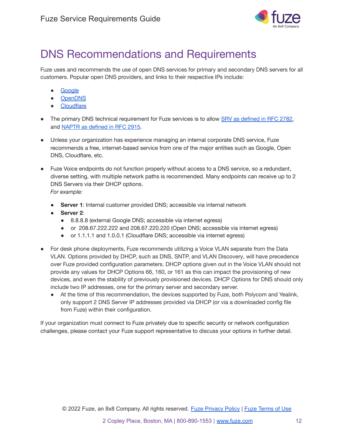

## <span id="page-12-0"></span>DNS Recommendations and Requirements

Fuze uses and recommends the use of open DNS services for primary and secondary DNS servers for all customers. Popular open DNS providers, and links to their respective IPs include:

- [Google](https://developers.google.com/speed/public-dns/docs/using)
- [OpenDNS](https://www.opendns.com/setupguide/)
- [Cloudflare](https://1.1.1.1/)
- The primary DNS technical requirement for Fuze services is to allow SRV as [defined](https://www.ietf.org/rfc/rfc2782.txt) in RFC 2782, and NAPTR as [defined](https://tools.ietf.org/html/rfc2915) in RFC 2915.
- **●** Unless your organization has experience managing an internal corporate DNS service, Fuze recommends a free, internet-based service from one of the major entities such as Google, Open DNS, Cloudflare, etc.
- Fuze Voice endpoints do not function properly without access to a DNS service, so a redundant, diverse setting, with multiple network paths is recommended. Many endpoints can receive up to 2 DNS Servers via their DHCP options. *For example:*
	- **Server 1**: Internal customer provided DNS; accessible via internal network
	- **Server 2**:
		- 8.8.8.8 (external Google DNS; accessible via internet egress)
		- or 208.67.222.222 and 208.67.220.220 (Open DNS; accessible via internet egress)
		- or 1.1.1.1 and 1.0.0.1 (Cloudflare DNS; accessible via internet egress)
- **●** For desk phone deployments, Fuze recommends utilizing a Voice VLAN separate from the Data VLAN. Options provided by DHCP, such as DNS, SNTP, and VLAN Discovery, will have precedence over Fuze provided configuration parameters. DHCP options given out in the Voice VLAN should not provide any values for DHCP Options 66, 160, or 161 as this can impact the provisioning of new devices, and even the stability of previously provisioned devices. DHCP Options for DNS should only include two IP addresses, one for the primary server and secondary server.
	- At the time of this recommendation, the devices supported by Fuze, both Polycom and Yealink, only support 2 DNS Server IP addresses provided via DHCP (or via a downloaded config file from Fuze) within their configuration.

If your organization must connect to Fuze privately due to specific security or network configuration challenges, please contact your Fuze support representative to discuss your options in further detail.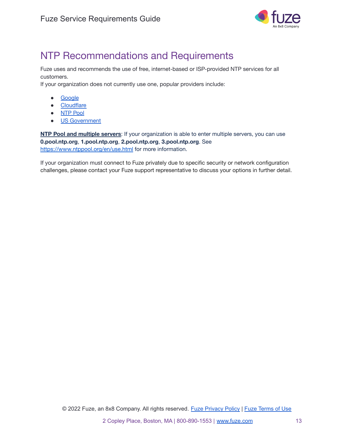

### <span id="page-13-0"></span>NTP Recommendations and Requirements

Fuze uses and recommends the use of free, internet-based or ISP-provided NTP services for all customers.

If your organization does not currently use one, popular providers include:

- [Google](http://time.google.com)
- [Cloudflare](http://time.cloudflare.com)
- NTP [Pool](http://ntppool.org)
- US [Government](https://tf.nist.gov/tf-cgi/servers.cgi)

**NTP Pool and multiple servers**: If your organization is able to enter multiple servers, you can use **0.pool.ntp.org**, **1.pool.ntp.org**, **2.pool.ntp.org**, **3.pool.ntp.org**. See <https://www.ntppool.org/en/use.html> for more information.

If your organization must connect to Fuze privately due to specific security or network configuration challenges, please contact your Fuze support representative to discuss your options in further detail.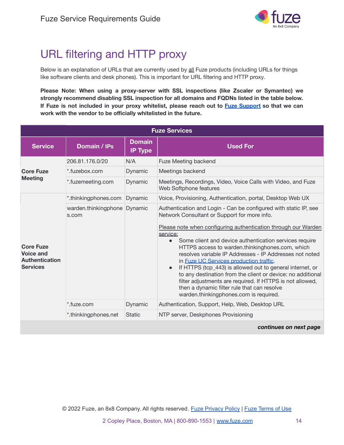

## <span id="page-14-0"></span>URL filtering and HTTP proxy

Below is an explanation of URLs that are currently used by all Fuze products (including URLs for things like software clients and desk phones). This is important for URL filtering and HTTP proxy.

**Please Note: When using a proxy-server with SSL inspections (like Zscaler or Symantec) we strongly recommend disabling SSL inspection for all domains and FQDNs listed in the table below.** If Fuze is not included in your proxy whitelist, please reach out to **Fuze [Support](mailto:support@fuze.com)** so that we can **work with the vendor to be officially whitelisted in the future.**

|                                                                                  | <b>Fuze Services</b>            |                                 |                                                                                                                                                                                                                                                                                                                                                                                                                                                                                                                                                                                                                                                                                                                               |  |
|----------------------------------------------------------------------------------|---------------------------------|---------------------------------|-------------------------------------------------------------------------------------------------------------------------------------------------------------------------------------------------------------------------------------------------------------------------------------------------------------------------------------------------------------------------------------------------------------------------------------------------------------------------------------------------------------------------------------------------------------------------------------------------------------------------------------------------------------------------------------------------------------------------------|--|
| <b>Service</b>                                                                   | Domain / IPs                    | <b>Domain</b><br><b>IP Type</b> | <b>Used For</b>                                                                                                                                                                                                                                                                                                                                                                                                                                                                                                                                                                                                                                                                                                               |  |
|                                                                                  | 206.81.176.0/20                 | N/A                             | <b>Fuze Meeting backend</b>                                                                                                                                                                                                                                                                                                                                                                                                                                                                                                                                                                                                                                                                                                   |  |
| <b>Core Fuze</b>                                                                 | *.fuzebox.com                   | Dynamic                         | Meetings backend                                                                                                                                                                                                                                                                                                                                                                                                                                                                                                                                                                                                                                                                                                              |  |
| <b>Meeting</b>                                                                   | *.fuzemeeting.com               | Dynamic                         | Meetings, Recordings, Video, Voice Calls with Video, and Fuze<br>Web Softphone features                                                                                                                                                                                                                                                                                                                                                                                                                                                                                                                                                                                                                                       |  |
|                                                                                  | *.thinkingphones.com<br>Dynamic |                                 | Voice, Provisioning, Authentication, portal, Desktop Web UX                                                                                                                                                                                                                                                                                                                                                                                                                                                                                                                                                                                                                                                                   |  |
| <b>Core Fuze</b><br><b>Voice and</b><br><b>Authentication</b><br><b>Services</b> | warden.thinkingphone<br>s.com   | Dynamic                         | Authentication and Login - Can be configured with static IP, see<br>Network Consultant or Support for more info.<br>Please note when configuring authentication through our Warden<br>service:<br>Some client and device authentication services require<br>$\bullet$<br>HTTPS access to warden.thinkinghones.com, which<br>resolves variable IP Addresses - IP Addresses not noted<br>in Fuze UC Services production traffic.<br>If HTTPS (tcp_443) is allowed out to general internet, or<br>$\bullet$<br>to any destination from the client or device: no additional<br>filter adjustments are required. If HTTPS is not allowed,<br>then a dynamic filter rule that can resolve<br>warden.thinkingphones.com is required. |  |
|                                                                                  | *.fuze.com                      | Dynamic                         | Authentication, Support, Help, Web, Desktop URL                                                                                                                                                                                                                                                                                                                                                                                                                                                                                                                                                                                                                                                                               |  |
| *.thinkingphones.net<br><b>Static</b>                                            |                                 |                                 | NTP server, Deskphones Provisioning                                                                                                                                                                                                                                                                                                                                                                                                                                                                                                                                                                                                                                                                                           |  |

*continues on next page*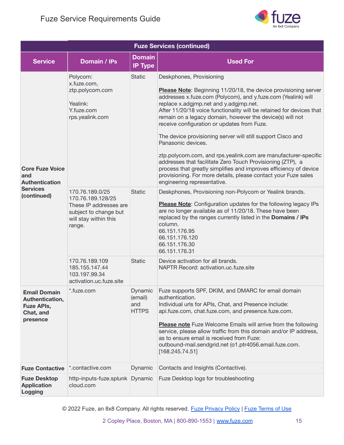

| <b>Fuze Services (continued)</b>                                                     |                                                                                                                            |                                 |                                                                                                                                                                                                                                                                                                                                                                                                                                                                                                                                                                                                                                                                                                                                                                                       |
|--------------------------------------------------------------------------------------|----------------------------------------------------------------------------------------------------------------------------|---------------------------------|---------------------------------------------------------------------------------------------------------------------------------------------------------------------------------------------------------------------------------------------------------------------------------------------------------------------------------------------------------------------------------------------------------------------------------------------------------------------------------------------------------------------------------------------------------------------------------------------------------------------------------------------------------------------------------------------------------------------------------------------------------------------------------------|
| <b>Service</b>                                                                       | Domain / IPs                                                                                                               | <b>Domain</b><br><b>IP Type</b> | <b>Used For</b>                                                                                                                                                                                                                                                                                                                                                                                                                                                                                                                                                                                                                                                                                                                                                                       |
| <b>Core Fuze Voice</b><br>and<br><b>Authentication</b>                               | Polycom:<br>x.fuze.com,<br>ztp.polycom.com<br>Yealink:<br>Y.fuze.com<br>rps.yealink.com                                    | <b>Static</b>                   | Deskphones, Provisioning<br>Please Note: Beginning 11/20/18, the device provisioning server<br>addresses x.fuze.com (Polycom), and y.fuze.com (Yealink) will<br>replace x.adgjmp.net and y.adgjmp.net.<br>After 11/20/18 voice functionality will be retained for devices that<br>remain on a legacy domain, however the device(s) will not<br>receive configuration or updates from Fuze.<br>The device provisioning server will still support Cisco and<br>Panasonic devices.<br>ztp.polycom.com, and rps.yealink.com are manufacturer-specific<br>addresses that facilitate Zero Touch Provisioning (ZTP), a<br>process that greatly simplifies and improves efficiency of device<br>provisioning. For more details, please contact your Fuze sales<br>engineering representative. |
| <b>Services</b><br>(continued)                                                       | 170.76.189.0/25<br>170.76.189.128/25<br>These IP addresses are<br>subject to change but<br>will stay within this<br>range. | <b>Static</b>                   | Deskphones, Provisioning non-Polycom or Yealink brands.<br>Please Note: Configuration updates for the following legacy IPs<br>are no longer available as of 11/20/18. These have been<br>replaced by the ranges currently listed in the Domains / IPs<br>column.<br>66.151.176.95<br>66.151.176.120<br>66.151.176.30<br>66.151.176.31                                                                                                                                                                                                                                                                                                                                                                                                                                                 |
|                                                                                      | 170.76.189.109<br>185.155.147.44<br>103.197.99.34<br>activation.uc.fuze.site                                               | <b>Static</b>                   | Device activation for all brands.<br>NAPTR Record: activation.uc.fuze.site                                                                                                                                                                                                                                                                                                                                                                                                                                                                                                                                                                                                                                                                                                            |
| <b>Email Domain</b><br>Authentication,<br><b>Fuze APIs,</b><br>Chat, and<br>presence | *.fuze.com                                                                                                                 | (email)<br>and<br><b>HTTPS</b>  | Dynamic Fuze supports SPF, DKIM, and DMARC for email domain<br>authentication.<br>Individual urls for APIs, Chat, and Presence include:<br>api.fuze.com, chat.fuze.com, and presence.fuze.com.<br>Please note Fuze Welcome Emails will arrive from the following<br>service, please allow traffic from this domain and/or IP address,<br>as to ensure email is received from Fuze:<br>outbound-mail.sendgrid.net (o1.ptr4056.email.fuze.com.<br>[168.245.74.51]                                                                                                                                                                                                                                                                                                                       |
| <b>Fuze Contactive</b>                                                               | *.contactive.com                                                                                                           | Dynamic                         | Contacts and Insights (Contactive).                                                                                                                                                                                                                                                                                                                                                                                                                                                                                                                                                                                                                                                                                                                                                   |
| <b>Fuze Desktop</b><br><b>Application</b><br>Logging                                 | http-inputs-fuze.splunk<br>cloud.com                                                                                       | Dynamic                         | Fuze Desktop logs for troubleshooting                                                                                                                                                                                                                                                                                                                                                                                                                                                                                                                                                                                                                                                                                                                                                 |

© 2022 Fuze, an 8x8 Company. All rights reserved. Fuze [Privacy](https://www.fuze.com/fuze-privacy-policy) Policy | Fuze [Terms](https://www.fuze.com/legal) of Use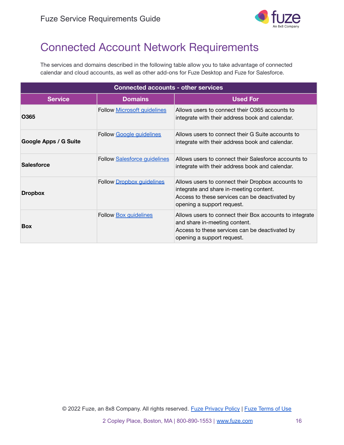

## <span id="page-16-0"></span>Connected Account Network Requirements

The services and domains described in the following table allow you to take advantage of connected calendar and cloud accounts, as well as other add-ons for Fuze Desktop and Fuze for Salesforce.

<span id="page-16-1"></span>

| <b>Connected accounts - other services</b> |                                     |                                                                                                                                                                              |  |  |  |
|--------------------------------------------|-------------------------------------|------------------------------------------------------------------------------------------------------------------------------------------------------------------------------|--|--|--|
| <b>Service</b>                             | <b>Domains</b>                      | <b>Used For</b>                                                                                                                                                              |  |  |  |
| O <sub>365</sub>                           | <b>Follow Microsoft guidelines</b>  | Allows users to connect their O365 accounts to<br>integrate with their address book and calendar.                                                                            |  |  |  |
| Google Apps / G Suite                      | <b>Follow Google guidelines</b>     | Allows users to connect their G Suite accounts to<br>integrate with their address book and calendar.                                                                         |  |  |  |
| <b>Salesforce</b>                          | <b>Follow Salesforce quidelines</b> | Allows users to connect their Salesforce accounts to<br>integrate with their address book and calendar.                                                                      |  |  |  |
| <b>Dropbox</b>                             | <b>Follow Dropbox guidelines</b>    | Allows users to connect their Dropbox accounts to<br>integrate and share in-meeting content.<br>Access to these services can be deactivated by<br>opening a support request. |  |  |  |
| <b>Box</b>                                 | Follow <b>Box</b> guidelines        | Allows users to connect their Box accounts to integrate<br>and share in-meeting content.<br>Access to these services can be deactivated by<br>opening a support request.     |  |  |  |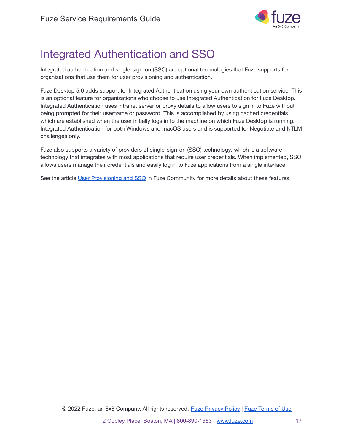

## <span id="page-17-0"></span>Integrated Authentication and SS[O](https://dev.chromium.org/administrators/policy-list-3#AuthNegotiateDelegateWhitelist)

Integrated authentication and single-sign-on (SSO) are optional technologies that Fuze supports for organizations that use them for user provisioning and authentication.

Fuze Desktop 5.0 adds support for Integrated Authentication using your own authentication service. This is an optional feature for organizations who choose to use Integrated Authentication for Fuze Desktop. Integrated Authentication uses intranet server or proxy details to allow users to sign in to Fuze without being prompted for their username or password. This is accomplished by using cached credentials which are established when the user initially logs in to the machine on which Fuze Desktop is running. Integrated Authentication for both Windows and macOS users and is supported for Negotiate and NTLM challenges only.

Fuze also supports a variety of providers of single-sign-on (SSO) technology, which is a software technology that integrates with most applications that require user credentials. When implemented, SSO allows users manage their credentials and easily log in to Fuze applications from a single interface.

See the article User [Provisioning](https://fuzecommunity.force.com/support/s/article/Administrator-Guide-Fuze-User-Provisioning-and-Single-Sign-On) and SSO in Fuze Community for more details about these features.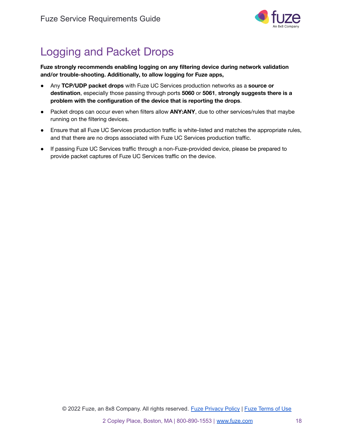

## <span id="page-18-0"></span>Logging and Packet Drops

**Fuze strongly recommends enabling logging on any filtering device during network validation and/or trouble-shooting. Additionally, to allow logging for Fuze apps,**

- Any **TCP/UDP packet drops** with Fuze UC Services production networks as a **source or destination**, especially those passing through ports **5060** or **5061**, **strongly suggests there is a problem with the configuration of the device that is reporting the drops**.
- Packet drops can occur even when filters allow **ANY:ANY**, due to other services/rules that maybe running on the filtering devices.
- Ensure that all Fuze UC Services production traffic is white-listed and matches the appropriate rules, and that there are no drops associated with Fuze UC Services production traffic.
- If passing Fuze UC Services traffic through a non-Fuze-provided device, please be prepared to provide packet captures of Fuze UC Services traffic on the device.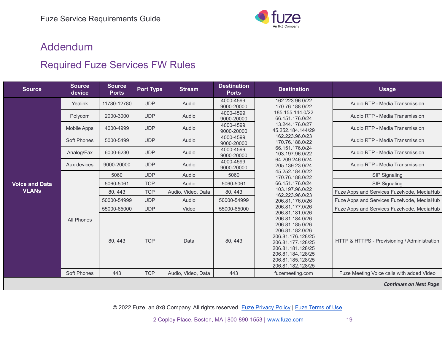

### Addendum

### Required Fuze Services FW Rules

<span id="page-19-1"></span><span id="page-19-0"></span>

| <b>Source</b>                         | <b>Source</b><br>device | <b>Source</b><br><b>Ports</b> | <b>Port Type</b> | <b>Stream</b>      | <b>Destination</b><br><b>Ports</b> | <b>Destination</b>                                                                                                                                                                                                                                                                                                                                                                                                                                                                                                                                                                 | <b>Usage</b>                                 |
|---------------------------------------|-------------------------|-------------------------------|------------------|--------------------|------------------------------------|------------------------------------------------------------------------------------------------------------------------------------------------------------------------------------------------------------------------------------------------------------------------------------------------------------------------------------------------------------------------------------------------------------------------------------------------------------------------------------------------------------------------------------------------------------------------------------|----------------------------------------------|
| <b>Voice and Data</b><br><b>VLANs</b> | Yealink                 | 11780-12780                   | <b>UDP</b>       | Audio              | 4000-4599.<br>9000-20000           | 162.223.96.0/22<br>170.76.188.0/22<br>185.155.144.0/22<br>66.151.176.0/24<br>13.244.176.0/27<br>45.252.184.144/29<br>162.223.96.0/23<br>170.76.188.0/22<br>66.151.176.0/24<br>103.197.96.0/22<br>64.209.246.0/24<br>205.139.23.0/24<br>45.252.184.0/22<br>170.76.188.0/22<br>66.151.176.0/24<br>103.197.96.0/22<br>162.223.96.0/23<br>206.81.176.0/26<br>206.81.177.0/26<br>206.81.181.0/26<br>206.81.184.0/26<br>206.81.185.0/26<br>206.81.182.0/26<br>206.81.176.128/25<br>206.81.177.128/25<br>206.81.181.128/25<br>206.81.184.128/25<br>206.81.185.128/25<br>206.81.182.128/25 | Audio RTP - Media Transmission               |
|                                       | Polycom                 | 2000-3000                     | <b>UDP</b>       | Audio              | 4000-4599,<br>9000-20000           |                                                                                                                                                                                                                                                                                                                                                                                                                                                                                                                                                                                    | Audio RTP - Media Transmission               |
|                                       | <b>Mobile Apps</b>      | 4000-4999                     | <b>UDP</b>       | Audio              | 4000-4599.<br>9000-20000           |                                                                                                                                                                                                                                                                                                                                                                                                                                                                                                                                                                                    | Audio RTP - Media Transmission               |
|                                       | Soft Phones             | 5000-5499                     | <b>UDP</b>       | Audio              | 4000-4599.<br>9000-20000           |                                                                                                                                                                                                                                                                                                                                                                                                                                                                                                                                                                                    | Audio RTP - Media Transmission               |
|                                       | Analog/Fax              | 6000-6230                     | <b>UDP</b>       | Audio              | 4000-4599.<br>9000-20000           |                                                                                                                                                                                                                                                                                                                                                                                                                                                                                                                                                                                    | Audio RTP - Media Transmission               |
|                                       | Aux devices             | 9000-20000                    | <b>UDP</b>       | Audio              | 4000-4599,<br>9000-20000           |                                                                                                                                                                                                                                                                                                                                                                                                                                                                                                                                                                                    | Audio RTP - Media Transmission               |
|                                       | All Phones              | 5060                          | <b>UDP</b>       | Audio              | 5060                               |                                                                                                                                                                                                                                                                                                                                                                                                                                                                                                                                                                                    | SIP Signaling                                |
|                                       |                         | 5060-5061                     | <b>TCP</b>       | Audio              | 5060-5061                          |                                                                                                                                                                                                                                                                                                                                                                                                                                                                                                                                                                                    | SIP Signaling                                |
|                                       |                         | 80, 443                       | <b>TCP</b>       | Audio, Video, Data | 80, 443                            |                                                                                                                                                                                                                                                                                                                                                                                                                                                                                                                                                                                    | Fuze Apps and Services FuzeNode, MediaHub    |
|                                       |                         | 50000-54999                   | <b>UDP</b>       | Audio              | 50000-54999                        |                                                                                                                                                                                                                                                                                                                                                                                                                                                                                                                                                                                    | Fuze Apps and Services FuzeNode, MediaHub    |
|                                       |                         | 55000-65000                   | <b>UDP</b>       | Video              | 55000-65000                        |                                                                                                                                                                                                                                                                                                                                                                                                                                                                                                                                                                                    | Fuze Apps and Services FuzeNode, MediaHub    |
|                                       |                         | 80, 443                       | <b>TCP</b>       | Data               | 80, 443                            |                                                                                                                                                                                                                                                                                                                                                                                                                                                                                                                                                                                    | HTTP & HTTPS - Provisioning / Administration |
|                                       | Soft Phones             | 443                           | <b>TCP</b>       | Audio, Video, Data | 443                                | fuzemeeting.com                                                                                                                                                                                                                                                                                                                                                                                                                                                                                                                                                                    | Fuze Meeting Voice calls with added Video    |
|                                       |                         |                               |                  |                    |                                    |                                                                                                                                                                                                                                                                                                                                                                                                                                                                                                                                                                                    | Continues on Next Dane                       |

*Continues on Next Page*

© 2022 Fuze, an 8x8 Company. All rights reserved. Fuze [Privacy](https://www.fuze.com/fuze-privacy-policy) Policy | Fuze [Terms](https://www.fuze.com/legal) of Use

2 Copley Place, Boston, MA | 800-890-1553 | [www.fuze.com](http://www.fuze.com) 19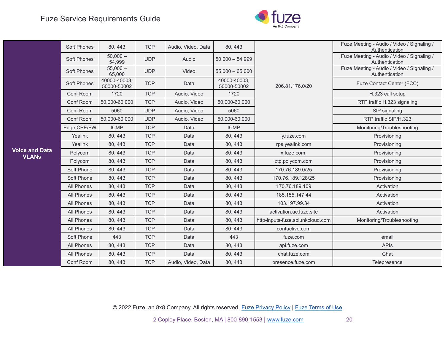

|                                       | Soft Phones | 80, 443                     | <b>TCP</b> | Audio, Video, Data | 80, 443                     |                                  | Fuze Meeting - Audio / Video / Signaling /<br>Authentication |
|---------------------------------------|-------------|-----------------------------|------------|--------------------|-----------------------------|----------------------------------|--------------------------------------------------------------|
|                                       | Soft Phones | $50,000 -$<br>54,999        | <b>UDP</b> | Audio              | $50,000 - 54,999$           |                                  | Fuze Meeting - Audio / Video / Signaling /<br>Authentication |
|                                       | Soft Phones | $55,000 -$<br>65,000        | <b>UDP</b> | Video              | $55,000 - 65,000$           |                                  | Fuze Meeting - Audio / Video / Signaling /<br>Authentication |
|                                       | Soft Phones | 40000-40003,<br>50000-50002 | <b>TCP</b> | Data               | 40000-40003,<br>50000-50002 | 206.81.176.0/20                  | Fuze Contact Center (FCC)                                    |
|                                       | Conf Room   | 1720                        | <b>TCP</b> | Audio, Video       | 1720                        |                                  | H.323 call setup                                             |
|                                       | Conf Room   | 50.000-60.000               | <b>TCP</b> | Audio, Video       | 50,000-60,000               |                                  | RTP traffic H.323 signaling                                  |
|                                       | Conf Room   | 5060                        | <b>UDP</b> | Audio, Video       | 5060                        |                                  | SIP signaling                                                |
|                                       | Conf Room   | 50,000-60,000               | <b>UDP</b> | Audio, Video       | 50,000-60,000               |                                  | RTP traffic SIP/H.323                                        |
| <b>Voice and Data</b><br><b>VLANS</b> | Edge CPE/FW | <b>ICMP</b>                 | <b>TCP</b> | Data               | <b>ICMP</b>                 |                                  | Monitoring/Troubleshooting                                   |
|                                       | Yealink     | 80, 443                     | <b>TCP</b> | Data               | 80, 443                     | y.fuze.com                       | Provisioning                                                 |
|                                       | Yealink     | 80, 443                     | <b>TCP</b> | Data               | 80, 443                     | rps.yealink.com                  | Provisioning                                                 |
|                                       | Polycom     | 80, 443                     | <b>TCP</b> | Data               | 80, 443                     | x.fuze.com.                      | Provisioning                                                 |
|                                       | Polycom     | 80, 443                     | <b>TCP</b> | Data               | 80, 443                     | ztp.polycom.com                  | Provisioning                                                 |
|                                       | Soft Phone  | 80, 443                     | <b>TCP</b> | Data               | 80, 443                     | 170.76.189.0/25                  | Provisioning                                                 |
|                                       | Soft Phone  | 80, 443                     | <b>TCP</b> | Data               | 80, 443                     | 170.76.189.128/25                | Provisioning                                                 |
|                                       | All Phones  | 80, 443                     | <b>TCP</b> | Data               | 80, 443                     | 170.76.189.109                   | Activation                                                   |
|                                       | All Phones  | 80, 443                     | <b>TCP</b> | Data               | 80, 443                     | 185.155.147.44                   | Activation                                                   |
|                                       | All Phones  | 80, 443                     | <b>TCP</b> | Data               | 80, 443                     | 103.197.99.34                    | Activation                                                   |
|                                       | All Phones  | 80, 443                     | <b>TCP</b> | Data               | 80, 443                     | activation.uc.fuze.site          | Activation                                                   |
|                                       | All Phones  | 80, 443                     | <b>TCP</b> | Data               | 80, 443                     | http-inputs-fuze.splunkcloud.com | Monitoring/Troubleshooting                                   |
|                                       | All Phones  | 80, 443                     | <b>TGP</b> | <b>Data</b>        | 80, 443                     | contactive.com                   |                                                              |
|                                       | Soft Phone  | 443                         | <b>TCP</b> | Data               | 443                         | fuze.com                         | email                                                        |
|                                       | All Phones  | 80, 443                     | <b>TCP</b> | Data               | 80, 443                     | api.fuze.com                     | <b>APIs</b>                                                  |
|                                       | All Phones  | 80, 443                     | <b>TCP</b> | Data               | 80, 443                     | chat.fuze.com                    | Chat                                                         |
|                                       | Conf Room   | 80, 443                     | <b>TCP</b> | Audio, Video, Data | 80, 443                     | presence.fuze.com                | Telepresence                                                 |

© 2022 Fuze, an 8x8 Company. All rights reserved. Fuze [Privacy](https://www.fuze.com/fuze-privacy-policy) Policy | Fuze [Terms](https://www.fuze.com/legal) of Use

2 Copley Place, Boston, MA | 800-890-1553 | [www.fuze.com](http://www.fuze.com) 20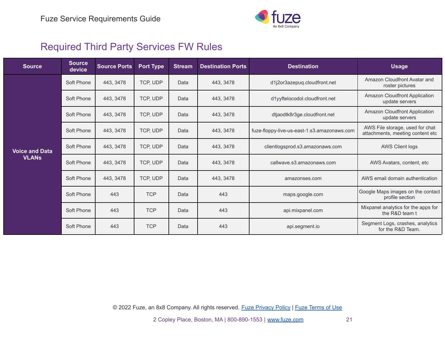

### Required Third Party Services FW Rules

<span id="page-21-0"></span>

| <b>Source</b>                         | <b>Source</b><br>device | <b>Source Ports</b> | <b>Port Type</b> | <b>Stream</b> | <b>Destination Ports</b> | <b>Destination</b>                          | <b>Usage</b>                                                        |
|---------------------------------------|-------------------------|---------------------|------------------|---------------|--------------------------|---------------------------------------------|---------------------------------------------------------------------|
| <b>Voice and Data</b><br><b>VLANs</b> | Soft Phone              | 443, 3478           | TCP, UDP         | Data          | 443, 3478                | d1j2or3azepuq.cloudfront.net                | Amazon Cloudfront Avatar and<br>roster pictures                     |
|                                       | Soft Phone              | 443, 3478           | TCP, UDP         | Data          | 443, 3478                | d1yyftelocodol.cloudfront.net               | Amazon Cloudfront Application<br>update servers                     |
|                                       | Soft Phone              | 443, 3478           | TCP, UDP         | Data          | 443, 3478                | dtjaodtk8r3ge.cloudfront.net                | <b>Amazon Cloudfront Application</b><br>update servers              |
|                                       | Soft Phone              | 443.3478            | TCP, UDP         | Data          | 443, 3478                | fuze-floppy-live-us-east-1.s3.amazonaws.com | AWS File storage, used for chat<br>attachments, meeting content etc |
|                                       | Soft Phone              | 443, 3478           | TCP, UDP         | Data          | 443, 3478                | clientlogsprod.s3.amazonaws.com             | <b>AWS Client logs</b>                                              |
|                                       | Soft Phone              | 443, 3478           | TCP, UDP         | Data          | 443, 3478                | callwave.s3.amazonaws.com                   | AWS Avatars, content, etc.                                          |
|                                       | Soft Phone              | 443, 3478           | TCP, UDP         | Data          | 443, 3478                | amazonses.com                               | AWS email domain authentication                                     |
|                                       | Soft Phone              | 443                 | <b>TCP</b>       | Data          | 443                      | maps.google.com                             | Google Maps images on the contact<br>profile section                |
|                                       | Soft Phone              | 443                 | <b>TCP</b>       | Data          | 443                      | api.mixpanel.com                            | Mixpanel analytics for the apps for<br>the R&D team t               |
|                                       | Soft Phone              | 443                 | <b>TCP</b>       | Data          | 443                      | api.segment.io                              | Segment Logs, crashes, analytics<br>for the R&D Team.               |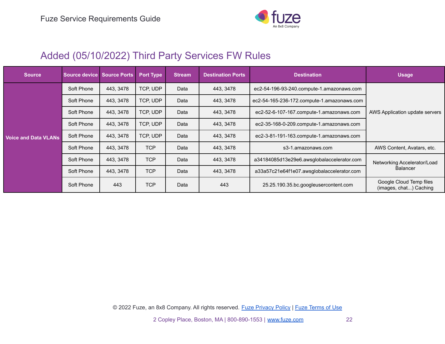

### Added (05/10/2022) Third Party Services FW Rules

<span id="page-22-0"></span>

| <b>Source</b>               | <b>Source device Source Ports</b> |           | <b>Port Type</b> | <b>Stream</b> | <b>Destination Ports</b> | <b>Destination</b>                         | <b>Usage</b>                                      |  |
|-----------------------------|-----------------------------------|-----------|------------------|---------------|--------------------------|--------------------------------------------|---------------------------------------------------|--|
| <b>Voice and Data VLANs</b> | Soft Phone                        | 443, 3478 | TCP, UDP         | Data          | 443, 3478                | ec2-54-196-93-240.compute-1.amazonaws.com  |                                                   |  |
|                             | Soft Phone                        | 443, 3478 | TCP, UDP         | Data          | 443, 3478                | ec2-54-165-236-172.compute-1.amazonaws.com | AWS Application update servers                    |  |
|                             | Soft Phone                        | 443, 3478 | TCP, UDP         | Data          | 443, 3478                | ec2-52-6-107-167.compute-1.amazonaws.com   |                                                   |  |
|                             | Soft Phone                        | 443, 3478 | TCP, UDP         | Data          | 443, 3478                | ec2-35-168-0-209.compute-1.amazonaws.com   |                                                   |  |
|                             | Soft Phone                        | 443, 3478 | TCP, UDP         | Data          | 443, 3478                | ec2-3-81-191-163.compute-1.amazonaws.com   |                                                   |  |
|                             | Soft Phone                        | 443, 3478 | <b>TCP</b>       | Data          | 443, 3478                | s3-1.amazonaws.com                         | AWS Content, Avatars, etc.                        |  |
|                             | Soft Phone                        | 443, 3478 | <b>TCP</b>       | Data          | 443, 3478                | a34184085d13e29e6.awsglobalaccelerator.com | Networking Accelerator/Load<br><b>Balancer</b>    |  |
|                             | Soft Phone                        | 443, 3478 | <b>TCP</b>       | Data          | 443, 3478                | a33a57c21e64f1e07.awsglobalaccelerator.com |                                                   |  |
|                             | Soft Phone                        | 443       | <b>TCP</b>       | Data          | 443                      | 25.25.190.35.bc.googleusercontent.com      | Google Cloud Temp files<br>(images, chat) Caching |  |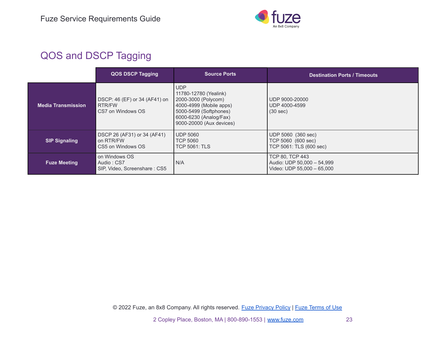

### QOS and DSCP Tagging

<span id="page-23-0"></span>

|                           | QOS DSCP Tagging                                              | <b>Source Ports</b>                                                                                                                                                   | <b>Destination Ports / Timeouts</b>                                                |
|---------------------------|---------------------------------------------------------------|-----------------------------------------------------------------------------------------------------------------------------------------------------------------------|------------------------------------------------------------------------------------|
| <b>Media Transmission</b> | DSCP: 46 (EF) or 34 (AF41) on<br>RTR/FW<br>CS7 on Windows OS  | <b>UDP</b><br>11780-12780 (Yealink)<br>2000-3000 (Polycom)<br>4000-4999 (Mobile apps)<br>5000-5499 (Softphones)<br>6000-6230 (Analog/Fax)<br>9000-20000 (Aux devices) | UDP 9000-20000<br>UDP 4000-4599<br>(30 sec)                                        |
| <b>SIP Signaling</b>      | DSCP 26 (AF31) or 34 (AF41)<br>on RTR/FW<br>CS5 on Windows OS | <b>UDP 5060</b><br><b>TCP 5060</b><br><b>TCP 5061: TLS</b>                                                                                                            | UDP 5060 (360 sec)<br>TCP 5060 (600 sec)<br>TCP 5061: TLS (600 sec)                |
| <b>Fuze Meeting</b>       | on Windows OS<br>Audio: CS7<br>SIP, Video, Screenshare: CS5   | N/A                                                                                                                                                                   | <b>TCP 80, TCP 443</b><br>Audio: UDP 50,000 - 54,999<br>Video: UDP 55,000 - 65,000 |

© 2022 Fuze, an 8x8 Company. All rights reserved. Fuze [Privacy](https://www.fuze.com/fuze-privacy-policy) Policy | Fuze [Terms](https://www.fuze.com/legal) of Use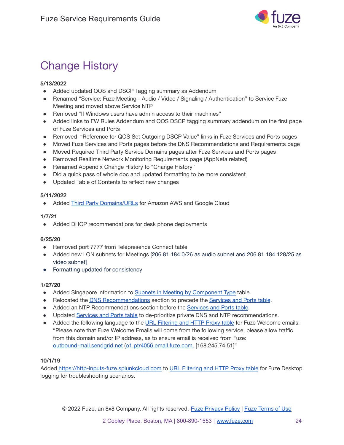

## <span id="page-24-0"></span>Change History

#### **5/13/2022**

- Added updated QOS and DSCP Tagging summary as Addendum
- Renamed "Service: Fuze Meeting Audio / Video / Signaling / Authentication" to Service Fuze Meeting and moved above Service NTP
- Removed "If Windows users have admin access to their machines"
- Added links to FW Rules Addendum and QOS DSCP tagging summary addendum on the first page of Fuze Services and Ports
- Removed "Reference for QOS Set Outgoing DSCP Value" links in Fuze Services and Ports pages
- Moved Fuze Services and Ports pages before the DNS Recommendations and Requirements page
- Moved Required Third Party Service Domains pages after Fuze Services and Ports pages
- Removed Realtime Network Monitoring Requirements page (AppNeta related)
- Renamed Appendix Change History to "Change History"
- Did a quick pass of whole doc and updated formatting to be more consistent
- Updated Table of Contents to reflect new changes

#### **5/11/2022**

• Added Third Party Domains/URLs for Amazon AWS and Google Cloud

#### **1/7/21**

● Added DHCP recommendations for desk phone deployments

#### **6/25/20**

- Removed port 7777 from Telepresence Connect table
- Added new LON subnets for Meetings [206.81.184.0/26 as audio subnet and 206.81.184.128/25 as video subnet]
- Formatting updated for consistency

#### **1/27/20**

- Added Singapore information to Subnets in Meeting by [Component](#page-3-1) Type table.
- Relocated the DNS Recommendations section to precede the [Services](#page-4-0) and Ports table.
- Added an NTP Recommendations section before the [Services](#page-3-0) and Ports table.
- Updated [Services](#page-4-0) and Ports table to de-prioritize private DNS and NTP recommendations.
- Added the following language to the URL Filtering and HTTP Proxy table for Fuze Welcome emails: "Please note that Fuze Welcome Emails will come from the following service, please allow traffic from this domain and/or IP address, as to ensure email is received from Fuze: [outbound-mail.sendgrid.net](http://outbound-mail.sendgrid.net/) ([o1.ptr4056.email.fuze.com.](http://o1.ptr4056.email.fuze.com/) [168.245.74.51]"

#### **10/1/19**

Added <https://http-inputs-fuze.splunkcloud.com> to URL Filtering and HTTP Proxy table for Fuze Desktop logging for troubleshooting scenarios.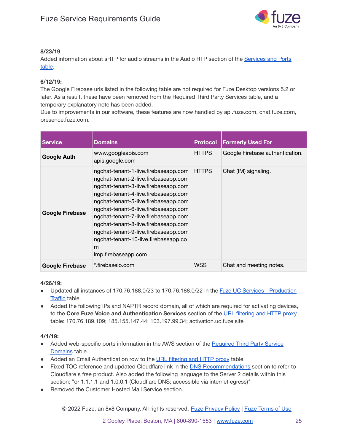

#### **8/23/19**

Added information about sRTP for audio streams in the Audio RTP section of the Services and Ports table.

#### **6/12/19:**

The Google Firebase urls listed in the following table are not required for Fuze Desktop versions 5.2 or later. As a result, these have been removed from the Required Third Party Services table, and a temporary explanatory note has been added.

Due to improvements in our software, these features are now handled by api.fuze.com, chat.fuze.com, presence.fuze.com.

| <b>Service</b>         | <b>Domains</b>                                                                                                                                                                                                                                                                                                                                                                                                                           | <b>Protocol</b> | <b>Formerly Used For</b>        |
|------------------------|------------------------------------------------------------------------------------------------------------------------------------------------------------------------------------------------------------------------------------------------------------------------------------------------------------------------------------------------------------------------------------------------------------------------------------------|-----------------|---------------------------------|
| <b>Google Auth</b>     | www.googleapis.com<br>apis.google.com                                                                                                                                                                                                                                                                                                                                                                                                    | <b>HTTPS</b>    | Google Firebase authentication. |
| <b>Google Firebase</b> | ngchat-tenant-1-live.firebaseapp.com<br>ngchat-tenant-2-live.firebaseapp.com<br>ngchat-tenant-3-live.firebaseapp.com<br>ngchat-tenant-4-live.firebaseapp.com<br>ngchat-tenant-5-live.firebaseapp.com<br>ngchat-tenant-6-live.firebaseapp.com<br>ngchat-tenant-7-live.firebaseapp.com<br>ngchat-tenant-8-live.firebaseapp.com<br>ngchat-tenant-9-live.firebaseapp.com<br>ngchat-tenant-10-live.firebaseapp.co<br>m<br>Imp.firebaseapp.com | <b>HTTPS</b>    | Chat (IM) signaling.            |
| <b>Google Firebase</b> | firebaseio.com.*                                                                                                                                                                                                                                                                                                                                                                                                                         | WSS             | Chat and meeting notes.         |

#### **4/26/19:**

- Updated all instances of 170.76.188.0/23 to 170.76.188.0/22 in the Fuze UC Services [Production](#page-3-0) [Traffic](#page-3-0) table.
- Added the following IPs and NAPTR record domain, all of which are required for activating devices, to the **Core Fuze Voice and Authentication Services** section of the URL filtering and HTTP proxy table: 170.76.189.109; 185.155.147.44; 103.197.99.34; activation.uc.fuze.site

#### **4/1/19:**

- Added web-specific ports information in the AWS section of the Required Third Party Service Domains table.
- Added an Email Authentication row to the URL filtering and HTTP proxy table.
- Fixed TOC reference and updated Cloudflare link in the **DNS Recommendations** section to refer to Cloudflare's free product. Also added the following language to the Server 2 details within this section: "or 1.1.1.1 and 1.0.0.1 (Cloudflare DNS; accessible via internet egress)"
- Removed the Customer Hosted Mail Service section.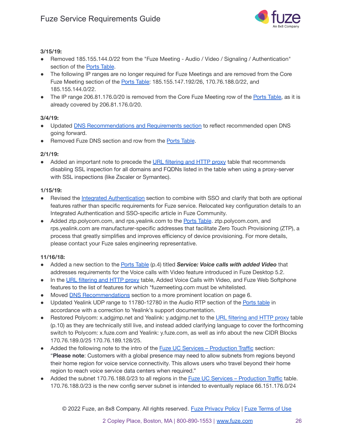

#### **3/15/19:**

- Removed 185.155.144.0/22 from the "Fuze Meeting Audio / Video / Signaling / Authentication" section of the Ports [Table](https://docs.google.com/document/d/189LnM-cfKMiDVLaJFRG_QyClOrzx-YPuSItLoYqz8II/edit?disco=AAAACoJx_wY&usp_dm=false&ts=5c7eca14#heading=h.9r1c69hqc4aw).
- The following IP ranges are no longer required for Fuze Meetings and are removed from the Core Fuze Meeting section of the Ports [Table:](https://docs.google.com/document/d/189LnM-cfKMiDVLaJFRG_QyClOrzx-YPuSItLoYqz8II/edit?disco=AAAACoJx_wY&usp_dm=false&ts=5c7eca14#heading=h.9r1c69hqc4aw) 185.155.147.192/26, 170.76.188.0/22, and 185.155.144.0/22.
- The IP range 206.81.176.0/20 is removed from the Core Fuze Meeting row of the Ports [Table,](https://docs.google.com/document/d/189LnM-cfKMiDVLaJFRG_QyClOrzx-YPuSItLoYqz8II/edit?disco=AAAACoJx_wY&usp_dm=false&ts=5c7eca14#heading=h.9r1c69hqc4aw) as it is already covered by 206.81.176.0/20.

#### **3/4/19:**

- Updated DNS Recommendations and Requirements section to reflect recommended open DNS going forward.
- Removed Fuze DNS section and row from the Ports [Table](https://docs.google.com/document/d/189LnM-cfKMiDVLaJFRG_QyClOrzx-YPuSItLoYqz8II/edit?disco=AAAACoJx_wY&usp_dm=false&ts=5c7eca14#heading=h.9r1c69hqc4aw).

#### **2/1/19:**

● Added an important note to precede the URL filtering and HTTP proxy table that recommends disabling SSL inspection for all domains and FQDNs listed in the table when using a proxy-server with SSL inspections (like Zscaler or Symantec).

#### **1/15/19:**

- Revised the Integrated [Authentication](#page-16-1) section to combine with SSO and clarify that both are optional features rather than specific requirements for Fuze service. Relocated key configuration details to an Integrated Authentication and SSO-specific article in Fuze Community.
- Added ztp.polycom.com, and rps.yealink.com to the Ports Table. ztp.polycom.com, and rps.yealink.com are manufacturer-specific addresses that facilitate Zero Touch Provisioning (ZTP), a process that greatly simplifies and improves efficiency of device provisioning. For more details, please contact your Fuze sales engineering representative.

#### **11/16/18:**

- Added a new section to the Ports Table (p.4) titled *Service: Voice calls with added Video* that addresses requirements for the Voice calls with Video feature introduced in Fuze Desktop 5.2.
- In the URL filtering and HTTP proxy table, Added Voice Calls with Video, and Fuze Web Softphone features to the list of features for which \*fuzemeeting.com must be whitelisted.
- Moved **DNS Recommendations** section to a more prominent location on page 6.
- Updated Yealink UDP range to 11780-12780 in the Audio RTP section of the Ports table in accordance with a correction to Yealink's support documentation.
- Restored Polycom: x.adgjmp.net and Yealink: y.adgjmp.net to the URL filtering and HTTP proxy table (p.10) as they are technically still live, and instead added clarifying language to cover the forthcoming switch to Polycom: x.fuze.com and Yealink: y.fuze.com, as well as info about the new CIDR Blocks 170.76.189.0/25 170.76.189.128/25.
- Added the following note to the intro of the Fuze UC Services [Production](#page-2-0) Traffic section: "**Please note**: Customers with a global presence may need to allow subnets from regions beyond their home region for voice service connectivity. This allows users who travel beyond their home region to reach voice service data centers when required."
- Added the subnet 170.76.188.0/23 to all regions in the Fuze UC Services [Production](#page-2-0) Traffic table. 170.76.188.0/23 is the new config server subnet is intended to eventually replace 66.151.176.0/24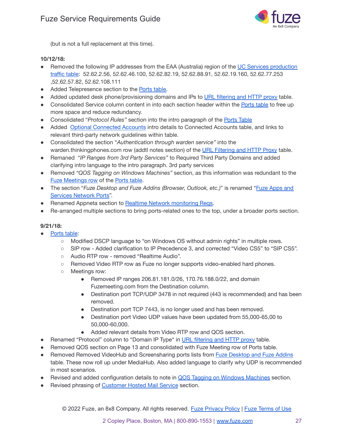

(but is not a full replacement at this time).

#### **10/12/18:**

- **●** Removed the following IP addresses from the EAA (Australia) region of the UC Services [production](#page-2-0) [traffic](#page-2-0) table: 52.62.2.56, 52.62.46.100, 52.62.82.19, 52.62.88.91, 52.62.19.160, 52.62.77.253 ,52.62.57.82, 52.62.108.111
- Added Telepresence section to the Ports table.
- **●** Added updated desk phone/provisioning domains and IPs to URL filtering and HTTP proxy table.
- **•** Consolidated Service column content in into each section header within the **Ports table** to free up more space and reduce redundancy.
- **●** Consolidated "*Protocol Rules"* section into the intro paragraph of the Ports Table
- **●** Added Optional Connected Accounts intro details to Connected Accounts table, and links to relevant third-party network guidelines within table.
- **●** Consolidated the section "*Authentication through warden service"* into the warden.thinkingphones.com row (addtl notes section) of the URL Filtering and HTTP Proxy table.
- **●** Remaned "*IP Ranges from 3rd Party Services"* to Required Third Party Domains and added clarifying intro language to the intro paragraph. 3rd party services
- **●** Removed *"QOS Tagging on Windows Machines"* section, as this information was redundant to the Fuze Meetings row of the Ports table.
- **●** The section "*Fuze Desktop and Fuze Addins (Browser, Outlook, etc.)*" is renamed "Fuze Apps and Services Network Ports".
- **●** Renamed Appneta section to Realtime Network monitoring Reqs.
- **●** Re-arranged multiple sections to bring ports-related ones to the top, under a broader ports section.

#### **9/21/18:**

- Ports table:
	- Modified DSCP language to "on Windows OS without admin rights" in multiple rows.
	- SIP row Added clarification to IP Precedence 3, and corrected "Video CS5" to "SIP CS5".
	- Audio RTP row removed "Realtime Audio".
	- Removed Video RTP row as Fuze no longer supports video-enabled hard phones.
	- Meetings row:
		- Removed IP ranges 206.81.181.0/26, 170.76.188.0/22, and domain Fuzemeeting.com from the Destination column.
		- Destination port TCP/UDP 3478 in not required (443 is recommended) and has been removed.
		- Destination port TCP 7443, is no longer used and has been removed.
		- Destination port Video UDP values have been updated from 55,000-65,00 to 50,000-60,000.
		- Added relevant details from Video RTP row and QOS section.
- Renamed "Protocol" column to "Domain IP Type" in URL filtering and HTTP proxy table.
- Removed QOS section on Page 13 and consolidated with Fuze Meeting row of Ports table.
- Removed Removed VideoHub and Screensharing ports lists from Fuze Desktop and Fuze Addins table. These now roll up under MediaHub. Also added language to clarify why UDP is recommended in most scenarios.
- Revised and added configuration details to note in QOS Tagging on Windows Machines section.
- Revised phrasing of Customer Hosted Mail Service section.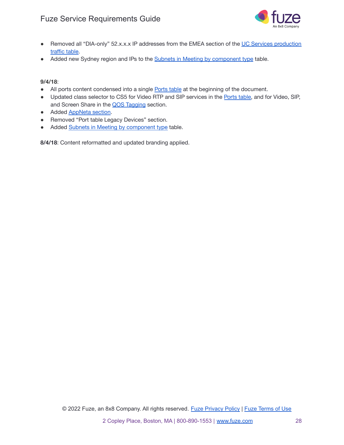

- Removed all "DIA-only" 52.x.x.x IP addresses from the EMEA section of the UC Services [production](#page-2-0) [traffic](#page-2-0) table.
- Added new Sydney region and IPs to the Subnets in Meeting by [component](#page-3-1) type table.

#### **9/4/18**:

- All ports content condensed into a single **Ports table** at the beginning of the document.
- Updated class selector to CS5 for Video RTP and SIP services in the Ports table, and for Video, SIP, and Screen Share in the **QOS Tagging** section.
- Added AppNeta section.
- Removed "Port table Legacy Devices" section.
- Added Subnets in Meeting by [component](#page-3-1) type table.

**8/4/18**: Content reformatted and updated branding applied.